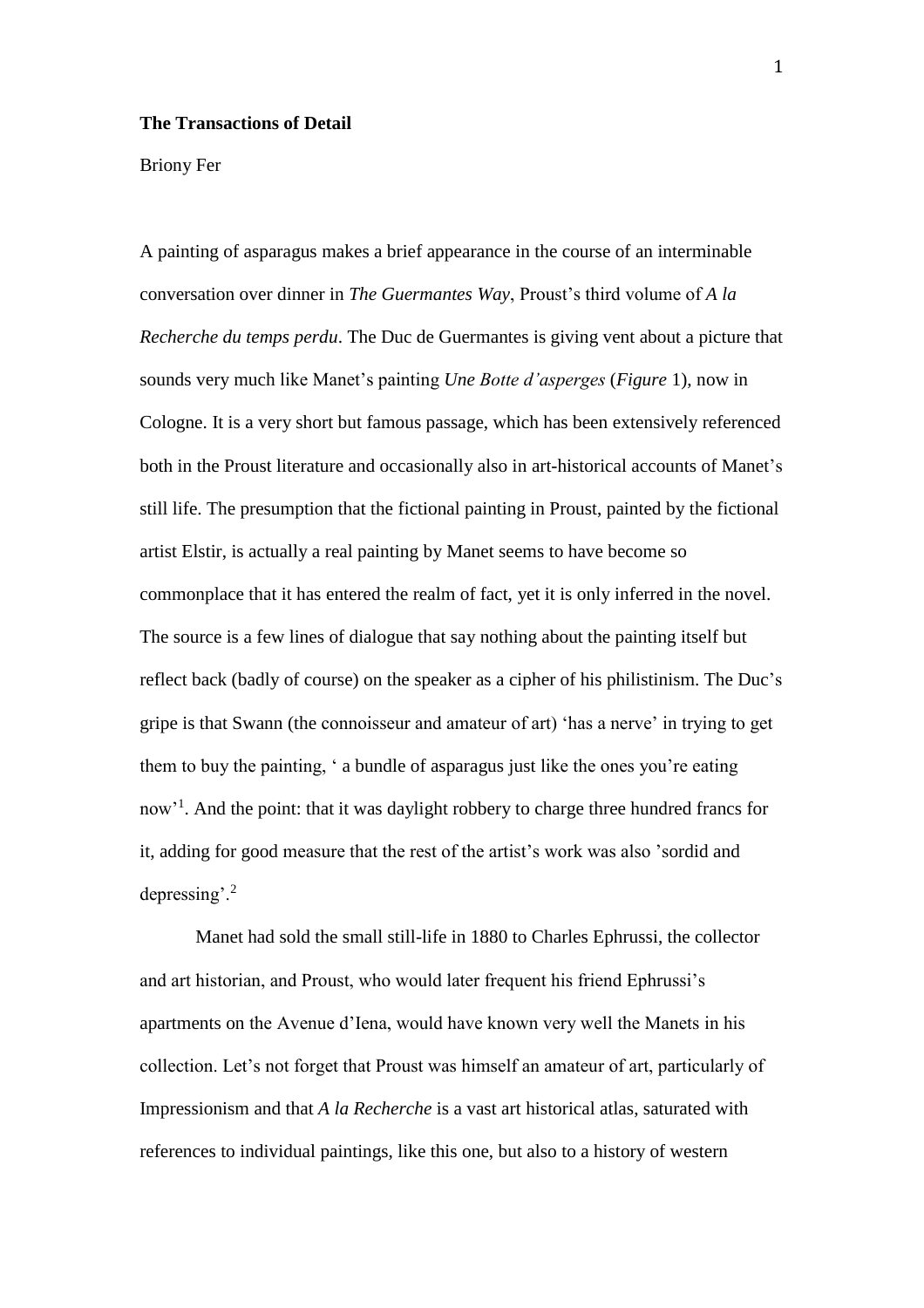## **The Transactions of Detail**

## Briony Fer

A painting of asparagus makes a brief appearance in the course of an interminable conversation over dinner in *The Guermantes Way*, Proust's third volume of *A la Recherche du temps perdu*. The Duc de Guermantes is giving vent about a picture that sounds very much like Manet's painting *Une Botte d'asperges* (*Figure* 1), now in Cologne. It is a very short but famous passage, which has been extensively referenced both in the Proust literature and occasionally also in art-historical accounts of Manet's still life. The presumption that the fictional painting in Proust, painted by the fictional artist Elstir, is actually a real painting by Manet seems to have become so commonplace that it has entered the realm of fact, yet it is only inferred in the novel. The source is a few lines of dialogue that say nothing about the painting itself but reflect back (badly of course) on the speaker as a cipher of his philistinism. The Duc's gripe is that Swann (the connoisseur and amateur of art) 'has a nerve' in trying to get them to buy the painting, ' a bundle of asparagus just like the ones you're eating now<sup>1</sup>. And the point: that it was daylight robbery to charge three hundred francs for it, adding for good measure that the rest of the artist's work was also 'sordid and depressing'.<sup>2</sup>

Manet had sold the small still-life in 1880 to Charles Ephrussi, the collector and art historian, and Proust, who would later frequent his friend Ephrussi's apartments on the Avenue d'Iena, would have known very well the Manets in his collection. Let's not forget that Proust was himself an amateur of art, particularly of Impressionism and that *A la Recherche* is a vast art historical atlas, saturated with references to individual paintings, like this one, but also to a history of western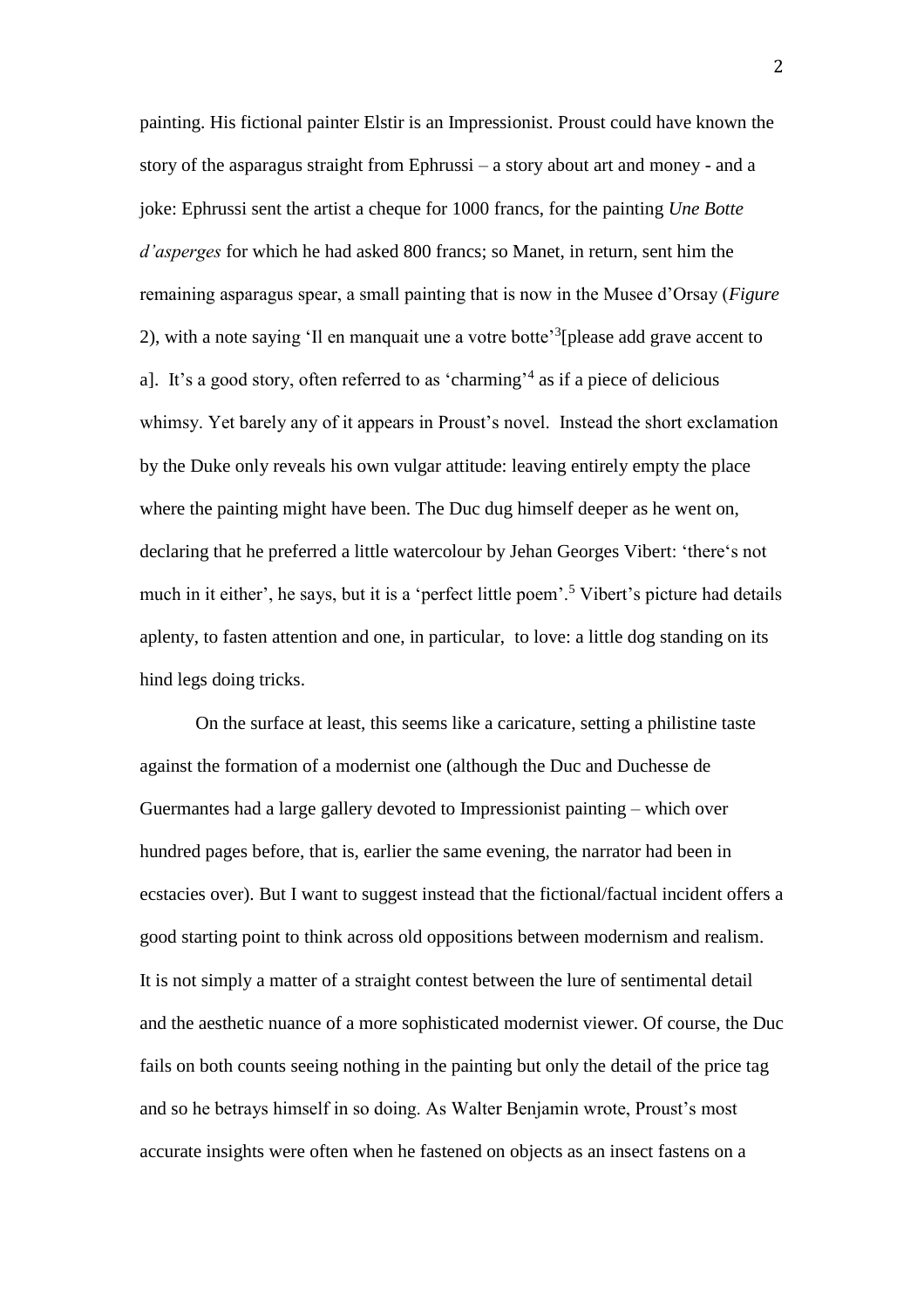painting. His fictional painter Elstir is an Impressionist. Proust could have known the story of the asparagus straight from Ephrussi – a story about art and money - and a joke: Ephrussi sent the artist a cheque for 1000 francs, for the painting *Une Botte d'asperges* for which he had asked 800 francs; so Manet, in return, sent him the remaining asparagus spear, a small painting that is now in the Musee d'Orsay (*Figure* 2), with a note saying 'Il en manquait une a votre botte<sup>3</sup>[please add grave accent to a]. It's a good story, often referred to as 'charming' 4 as if a piece of delicious whimsy. Yet barely any of it appears in Proust's novel. Instead the short exclamation by the Duke only reveals his own vulgar attitude: leaving entirely empty the place where the painting might have been. The Duc dug himself deeper as he went on, declaring that he preferred a little watercolour by Jehan Georges Vibert: 'there's not much in it either', he says, but it is a 'perfect little poem'.<sup>5</sup> Vibert's picture had details aplenty, to fasten attention and one, in particular, to love: a little dog standing on its hind legs doing tricks.

On the surface at least, this seems like a caricature, setting a philistine taste against the formation of a modernist one (although the Duc and Duchesse de Guermantes had a large gallery devoted to Impressionist painting – which over hundred pages before, that is, earlier the same evening, the narrator had been in ecstacies over). But I want to suggest instead that the fictional/factual incident offers a good starting point to think across old oppositions between modernism and realism. It is not simply a matter of a straight contest between the lure of sentimental detail and the aesthetic nuance of a more sophisticated modernist viewer. Of course, the Duc fails on both counts seeing nothing in the painting but only the detail of the price tag and so he betrays himself in so doing. As Walter Benjamin wrote, Proust's most accurate insights were often when he fastened on objects as an insect fastens on a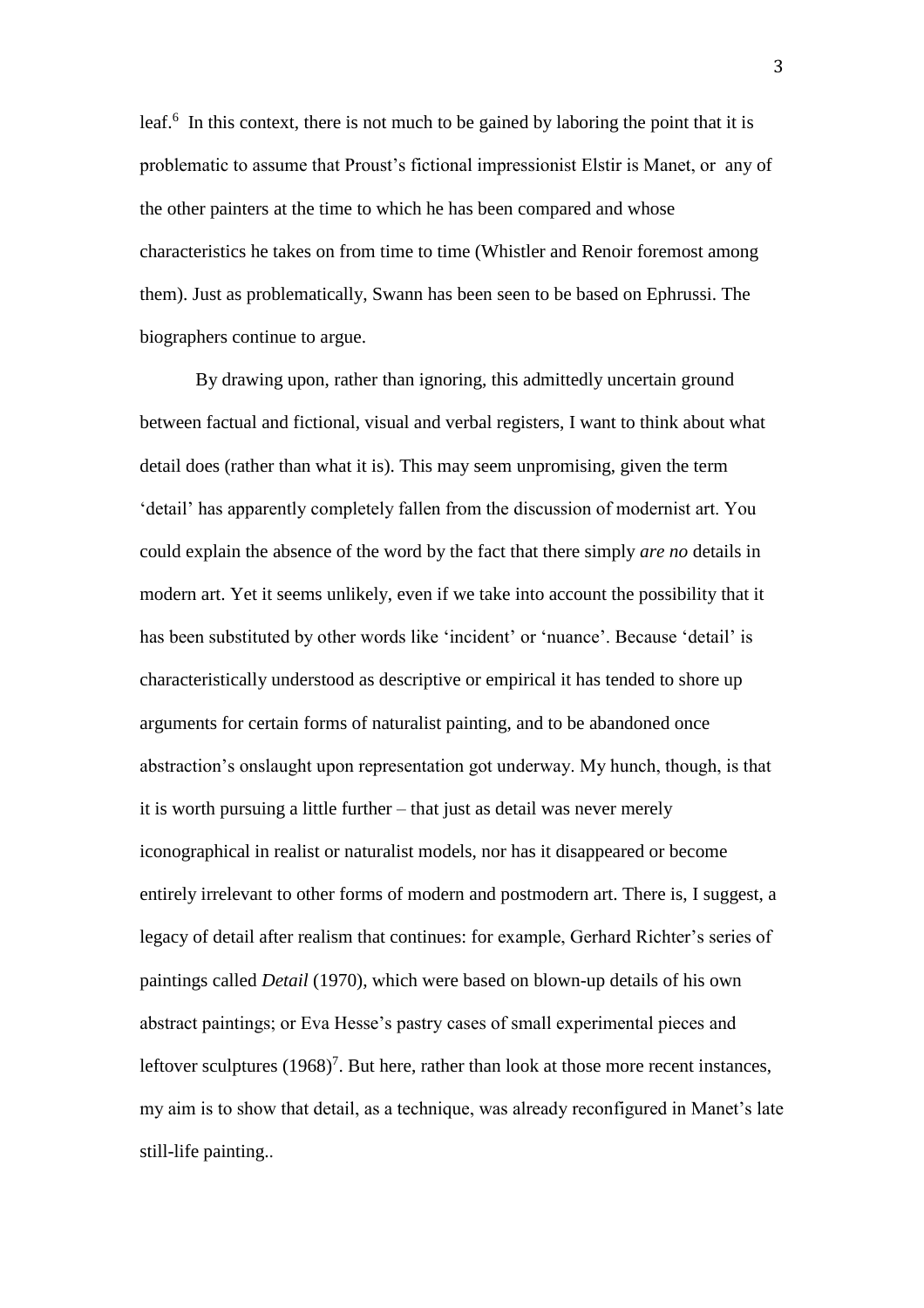leaf.<sup>6</sup> In this context, there is not much to be gained by laboring the point that it is problematic to assume that Proust's fictional impressionist Elstir is Manet, or any of the other painters at the time to which he has been compared and whose characteristics he takes on from time to time (Whistler and Renoir foremost among them). Just as problematically, Swann has been seen to be based on Ephrussi. The biographers continue to argue.

By drawing upon, rather than ignoring, this admittedly uncertain ground between factual and fictional, visual and verbal registers, I want to think about what detail does (rather than what it is). This may seem unpromising, given the term 'detail' has apparently completely fallen from the discussion of modernist art. You could explain the absence of the word by the fact that there simply *are no* details in modern art. Yet it seems unlikely, even if we take into account the possibility that it has been substituted by other words like 'incident' or 'nuance'. Because 'detail' is characteristically understood as descriptive or empirical it has tended to shore up arguments for certain forms of naturalist painting, and to be abandoned once abstraction's onslaught upon representation got underway. My hunch, though, is that it is worth pursuing a little further – that just as detail was never merely iconographical in realist or naturalist models, nor has it disappeared or become entirely irrelevant to other forms of modern and postmodern art. There is, I suggest, a legacy of detail after realism that continues: for example, Gerhard Richter's series of paintings called *Detail* (1970), which were based on blown-up details of his own abstract paintings; or Eva Hesse's pastry cases of small experimental pieces and leftover sculptures  $(1968)^7$ . But here, rather than look at those more recent instances, my aim is to show that detail, as a technique, was already reconfigured in Manet's late still-life painting..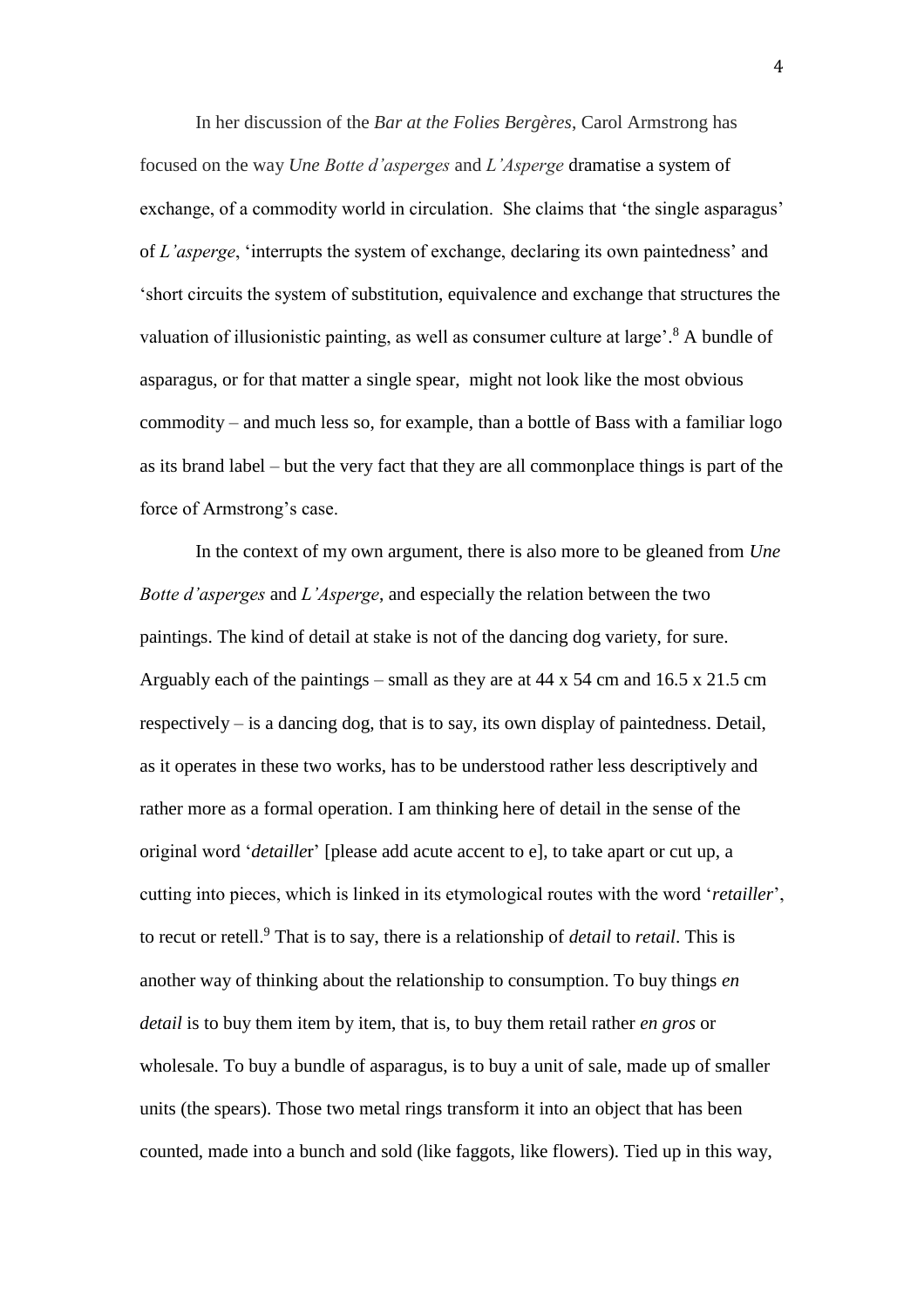In her discussion of the *Bar at the Folies Bergères*, Carol Armstrong has focused on the way *Une Botte d'asperges* and *L'Asperge* dramatise a system of exchange, of a commodity world in circulation. She claims that 'the single asparagus' of *L'asperge*, 'interrupts the system of exchange, declaring its own paintedness' and 'short circuits the system of substitution, equivalence and exchange that structures the valuation of illusionistic painting, as well as consumer culture at large'. <sup>8</sup> A bundle of asparagus, or for that matter a single spear, might not look like the most obvious commodity – and much less so, for example, than a bottle of Bass with a familiar logo as its brand label – but the very fact that they are all commonplace things is part of the force of Armstrong's case.

In the context of my own argument, there is also more to be gleaned from *Une Botte d'asperges* and *L'Asperge*, and especially the relation between the two paintings. The kind of detail at stake is not of the dancing dog variety, for sure. Arguably each of the paintings – small as they are at 44 x 54 cm and 16.5 x 21.5 cm respectively  $-$  is a dancing dog, that is to say, its own display of paintedness. Detail, as it operates in these two works, has to be understood rather less descriptively and rather more as a formal operation. I am thinking here of detail in the sense of the original word '*detaille*r' [please add acute accent to e], to take apart or cut up, a cutting into pieces, which is linked in its etymological routes with the word '*retailler*', to recut or retell.<sup>9</sup> That is to say, there is a relationship of *detail* to *retail*. This is another way of thinking about the relationship to consumption. To buy things *en detail* is to buy them item by item, that is, to buy them retail rather *en gros* or wholesale. To buy a bundle of asparagus, is to buy a unit of sale, made up of smaller units (the spears). Those two metal rings transform it into an object that has been counted, made into a bunch and sold (like faggots, like flowers). Tied up in this way,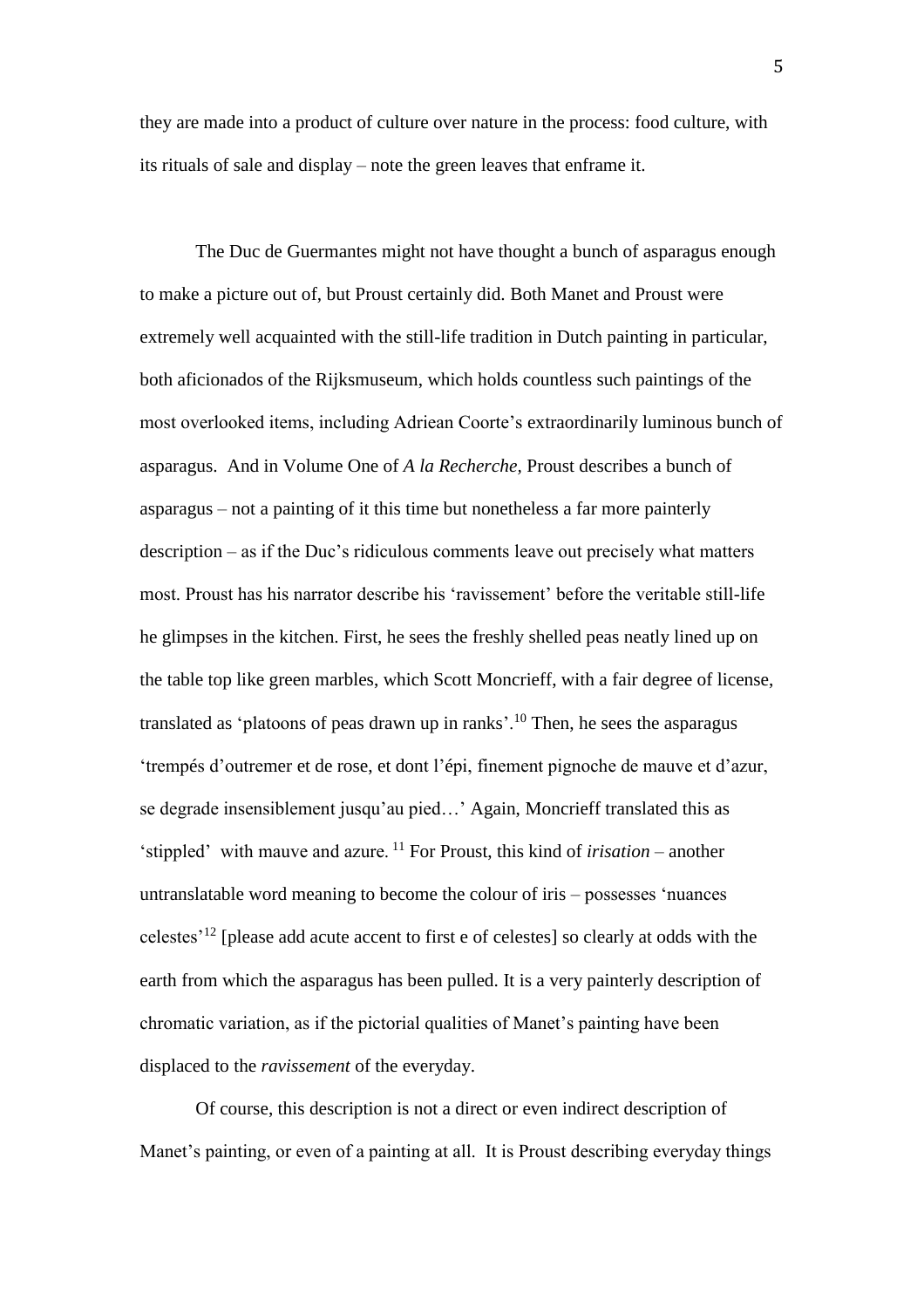they are made into a product of culture over nature in the process: food culture, with its rituals of sale and display – note the green leaves that enframe it.

The Duc de Guermantes might not have thought a bunch of asparagus enough to make a picture out of, but Proust certainly did. Both Manet and Proust were extremely well acquainted with the still-life tradition in Dutch painting in particular, both aficionados of the Rijksmuseum, which holds countless such paintings of the most overlooked items, including Adriean Coorte's extraordinarily luminous bunch of asparagus. And in Volume One of *A la Recherche,* Proust describes a bunch of asparagus – not a painting of it this time but nonetheless a far more painterly description – as if the Duc's ridiculous comments leave out precisely what matters most. Proust has his narrator describe his 'ravissement' before the veritable still-life he glimpses in the kitchen. First, he sees the freshly shelled peas neatly lined up on the table top like green marbles, which Scott Moncrieff, with a fair degree of license, translated as 'platoons of peas drawn up in ranks'.<sup>10</sup> Then, he sees the asparagus 'trempés d'outremer et de rose, et dont l'épi, finement pignoche de mauve et d'azur, se degrade insensiblement jusqu'au pied…' Again, Moncrieff translated this as 'stippled' with mauve and azure. <sup>11</sup> For Proust, this kind of *irisation* – another untranslatable word meaning to become the colour of iris – possesses 'nuances celestes'<sup>12</sup> [please add acute accent to first e of celestes] so clearly at odds with the earth from which the asparagus has been pulled. It is a very painterly description of chromatic variation, as if the pictorial qualities of Manet's painting have been displaced to the *ravissement* of the everyday.

 Of course, this description is not a direct or even indirect description of Manet's painting, or even of a painting at all. It is Proust describing everyday things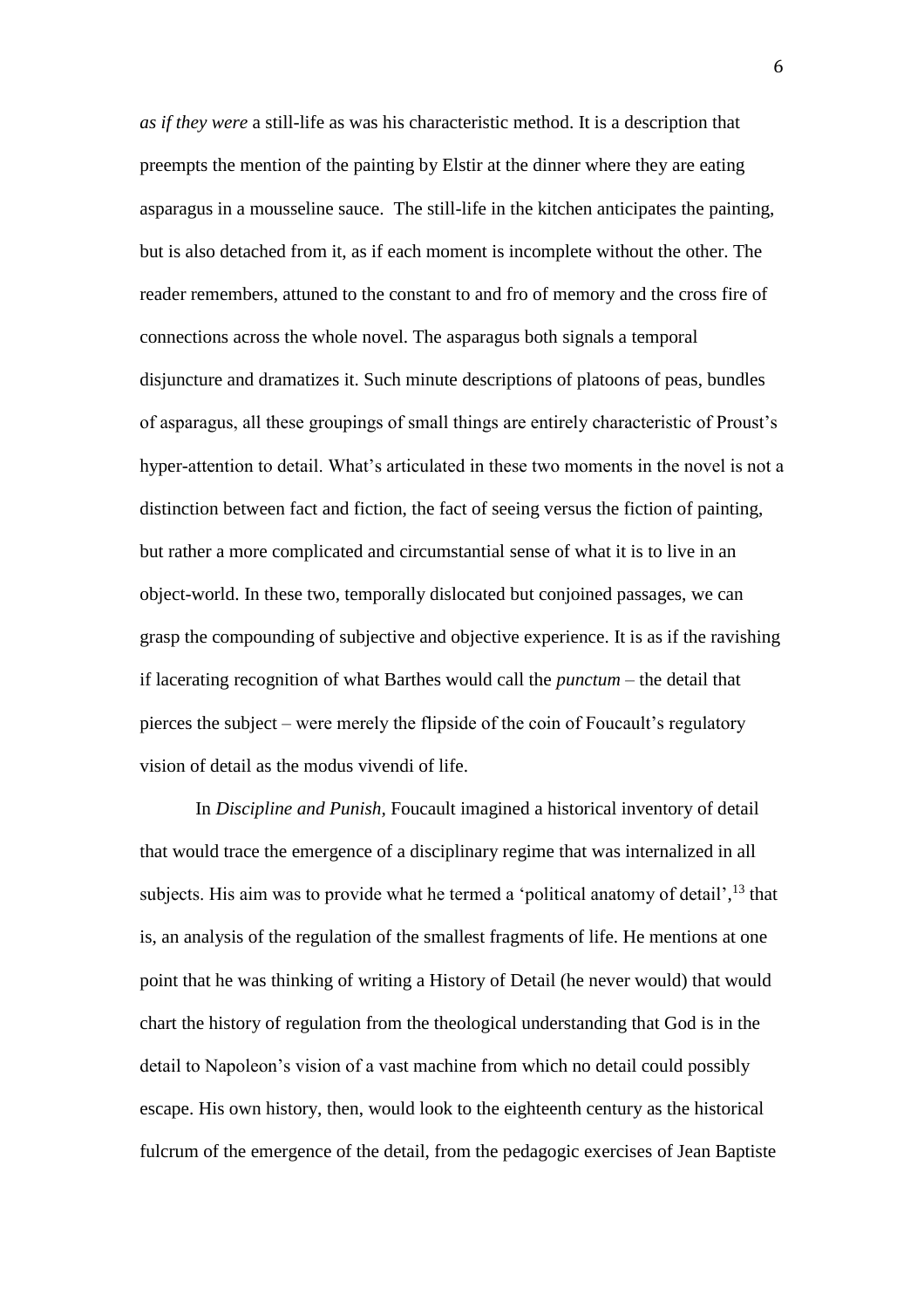*as if they were* a still-life as was his characteristic method. It is a description that preempts the mention of the painting by Elstir at the dinner where they are eating asparagus in a mousseline sauce. The still-life in the kitchen anticipates the painting, but is also detached from it, as if each moment is incomplete without the other. The reader remembers, attuned to the constant to and fro of memory and the cross fire of connections across the whole novel. The asparagus both signals a temporal disjuncture and dramatizes it. Such minute descriptions of platoons of peas, bundles of asparagus, all these groupings of small things are entirely characteristic of Proust's hyper-attention to detail. What's articulated in these two moments in the novel is not a distinction between fact and fiction, the fact of seeing versus the fiction of painting, but rather a more complicated and circumstantial sense of what it is to live in an object-world. In these two, temporally dislocated but conjoined passages, we can grasp the compounding of subjective and objective experience. It is as if the ravishing if lacerating recognition of what Barthes would call the *punctum* – the detail that pierces the subject – were merely the flipside of the coin of Foucault's regulatory vision of detail as the modus vivendi of life.

In *Discipline and Punish,* Foucault imagined a historical inventory of detail that would trace the emergence of a disciplinary regime that was internalized in all subjects. His aim was to provide what he termed a 'political anatomy of detail',<sup>13</sup> that is, an analysis of the regulation of the smallest fragments of life. He mentions at one point that he was thinking of writing a History of Detail (he never would) that would chart the history of regulation from the theological understanding that God is in the detail to Napoleon's vision of a vast machine from which no detail could possibly escape. His own history, then, would look to the eighteenth century as the historical fulcrum of the emergence of the detail, from the pedagogic exercises of Jean Baptiste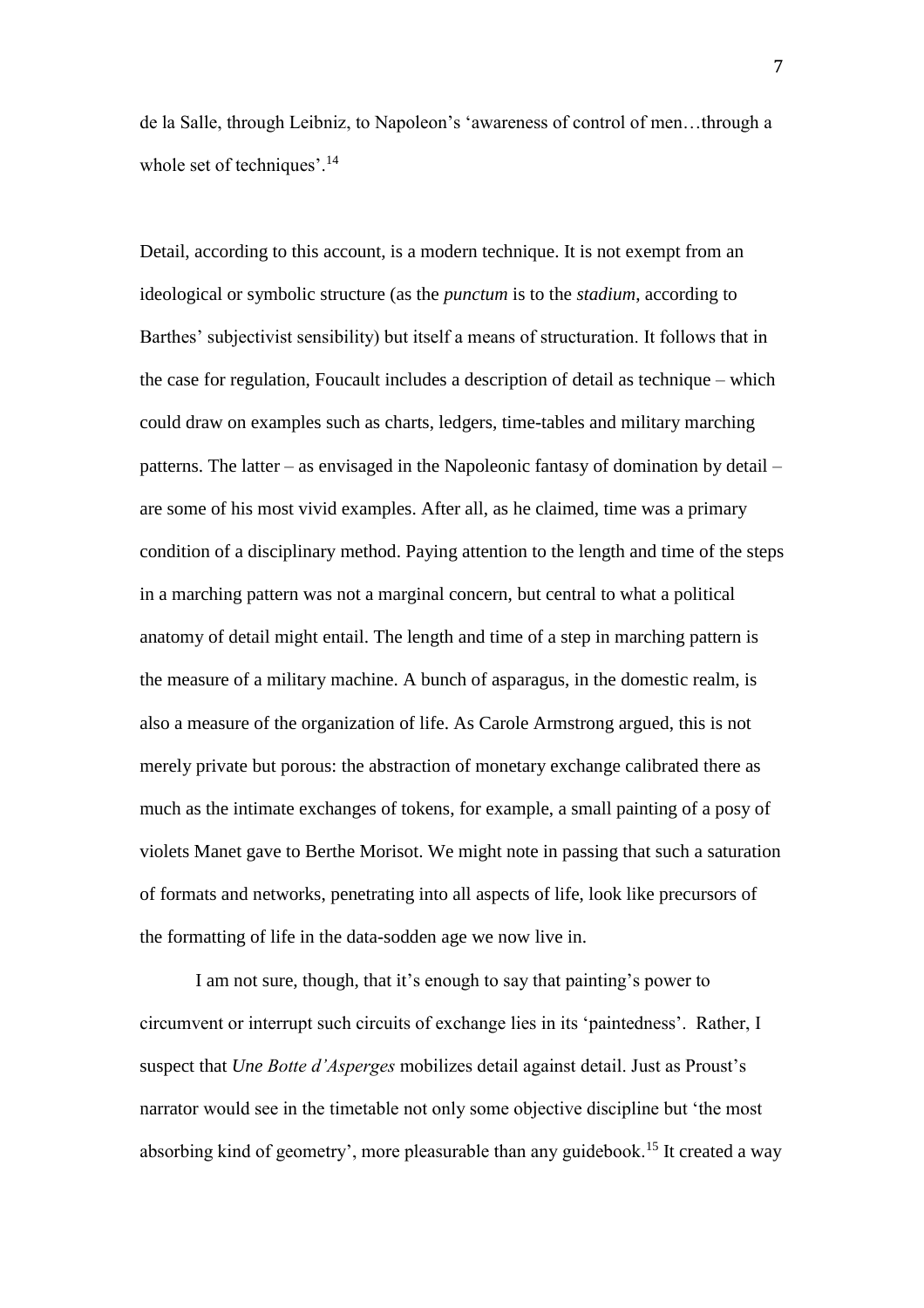de la Salle, through Leibniz, to Napoleon's 'awareness of control of men…through a whole set of techniques'.<sup>14</sup>

Detail, according to this account, is a modern technique. It is not exempt from an ideological or symbolic structure (as the *punctum* is to the *stadium*, according to Barthes' subjectivist sensibility) but itself a means of structuration. It follows that in the case for regulation, Foucault includes a description of detail as technique – which could draw on examples such as charts, ledgers, time-tables and military marching patterns. The latter – as envisaged in the Napoleonic fantasy of domination by detail – are some of his most vivid examples. After all, as he claimed, time was a primary condition of a disciplinary method. Paying attention to the length and time of the steps in a marching pattern was not a marginal concern, but central to what a political anatomy of detail might entail. The length and time of a step in marching pattern is the measure of a military machine. A bunch of asparagus, in the domestic realm, is also a measure of the organization of life. As Carole Armstrong argued, this is not merely private but porous: the abstraction of monetary exchange calibrated there as much as the intimate exchanges of tokens, for example, a small painting of a posy of violets Manet gave to Berthe Morisot. We might note in passing that such a saturation of formats and networks, penetrating into all aspects of life, look like precursors of the formatting of life in the data-sodden age we now live in.

I am not sure, though, that it's enough to say that painting's power to circumvent or interrupt such circuits of exchange lies in its 'paintedness'. Rather, I suspect that *Une Botte d'Asperges* mobilizes detail against detail. Just as Proust's narrator would see in the timetable not only some objective discipline but 'the most absorbing kind of geometry', more pleasurable than any guidebook.<sup>15</sup> It created a way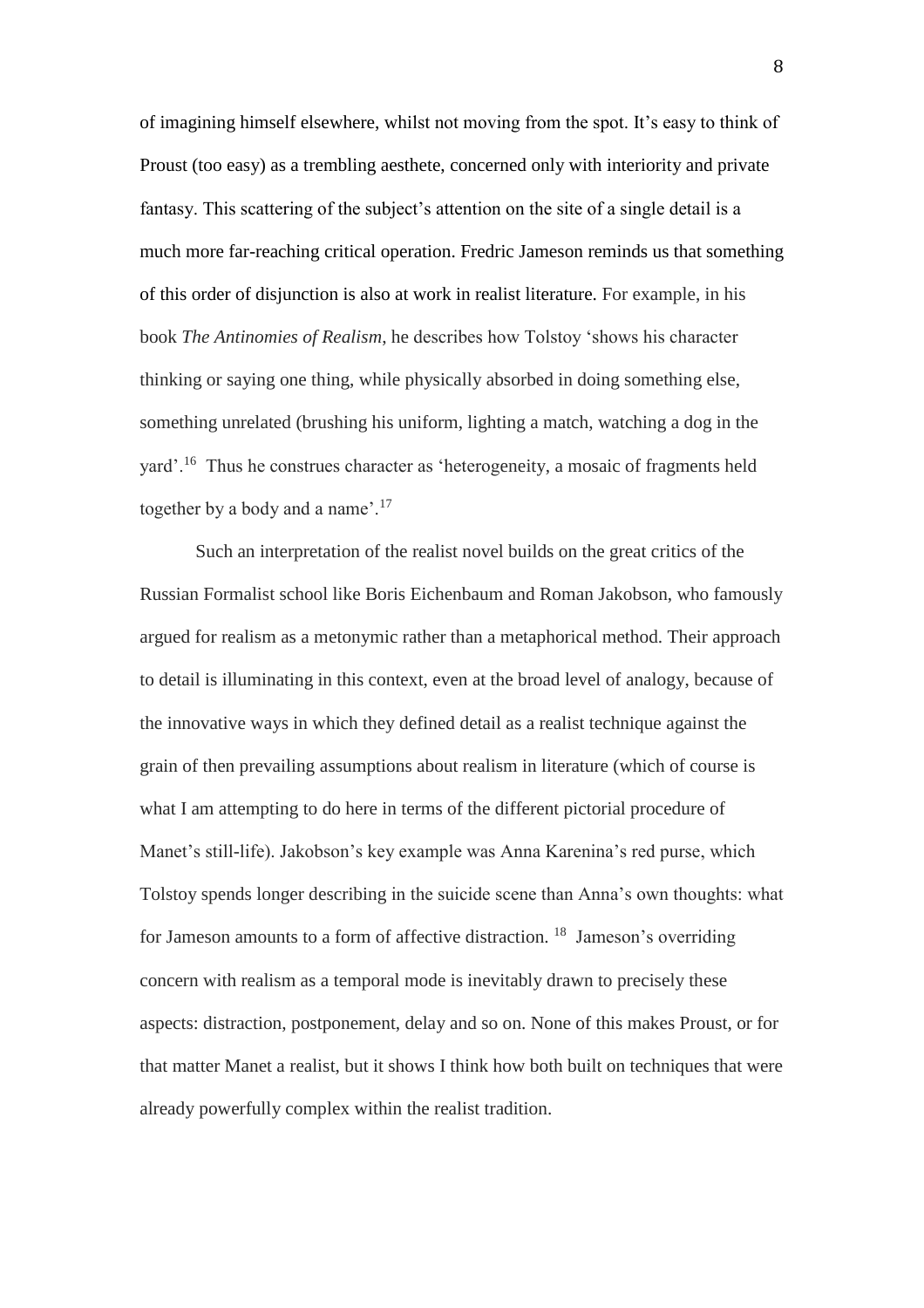of imagining himself elsewhere, whilst not moving from the spot. It's easy to think of Proust (too easy) as a trembling aesthete, concerned only with interiority and private fantasy. This scattering of the subject's attention on the site of a single detail is a much more far-reaching critical operation. Fredric Jameson reminds us that something of this order of disjunction is also at work in realist literature. For example, in his book *The Antinomies of Realism*, he describes how Tolstoy 'shows his character thinking or saying one thing, while physically absorbed in doing something else, something unrelated (brushing his uniform, lighting a match, watching a dog in the yard'.<sup>16</sup> Thus he construes character as 'heterogeneity, a mosaic of fragments held together by a body and a name'.<sup>17</sup>

Such an interpretation of the realist novel builds on the great critics of the Russian Formalist school like Boris Eichenbaum and Roman Jakobson, who famously argued for realism as a metonymic rather than a metaphorical method. Their approach to detail is illuminating in this context, even at the broad level of analogy, because of the innovative ways in which they defined detail as a realist technique against the grain of then prevailing assumptions about realism in literature (which of course is what I am attempting to do here in terms of the different pictorial procedure of Manet's still-life). Jakobson's key example was Anna Karenina's red purse, which Tolstoy spends longer describing in the suicide scene than Anna's own thoughts: what for Jameson amounts to a form of affective distraction. <sup>18</sup> Jameson's overriding concern with realism as a temporal mode is inevitably drawn to precisely these aspects: distraction, postponement, delay and so on. None of this makes Proust, or for that matter Manet a realist, but it shows I think how both built on techniques that were already powerfully complex within the realist tradition.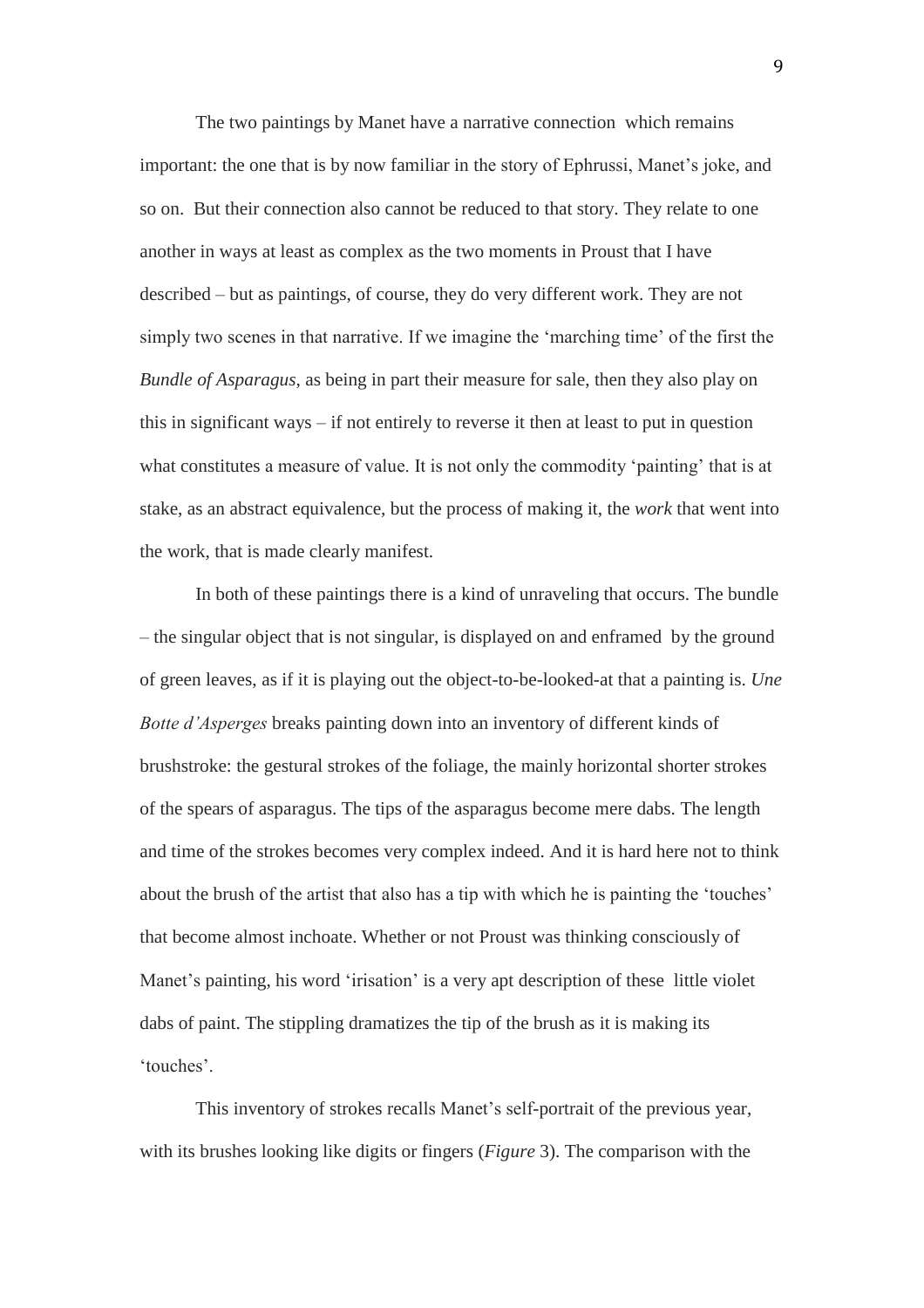The two paintings by Manet have a narrative connection which remains important: the one that is by now familiar in the story of Ephrussi, Manet's joke, and so on. But their connection also cannot be reduced to that story. They relate to one another in ways at least as complex as the two moments in Proust that I have described – but as paintings, of course, they do very different work. They are not simply two scenes in that narrative. If we imagine the 'marching time' of the first the *Bundle of Asparagus*, as being in part their measure for sale, then they also play on this in significant ways – if not entirely to reverse it then at least to put in question what constitutes a measure of value. It is not only the commodity 'painting' that is at stake, as an abstract equivalence, but the process of making it, the *work* that went into the work, that is made clearly manifest.

In both of these paintings there is a kind of unraveling that occurs. The bundle – the singular object that is not singular, is displayed on and enframed by the ground of green leaves, as if it is playing out the object-to-be-looked-at that a painting is. *Une Botte d'Asperges* breaks painting down into an inventory of different kinds of brushstroke: the gestural strokes of the foliage, the mainly horizontal shorter strokes of the spears of asparagus. The tips of the asparagus become mere dabs. The length and time of the strokes becomes very complex indeed. And it is hard here not to think about the brush of the artist that also has a tip with which he is painting the 'touches' that become almost inchoate. Whether or not Proust was thinking consciously of Manet's painting, his word 'irisation' is a very apt description of these little violet dabs of paint. The stippling dramatizes the tip of the brush as it is making its 'touches'.

This inventory of strokes recalls Manet's self-portrait of the previous year, with its brushes looking like digits or fingers (*Figure* 3). The comparison with the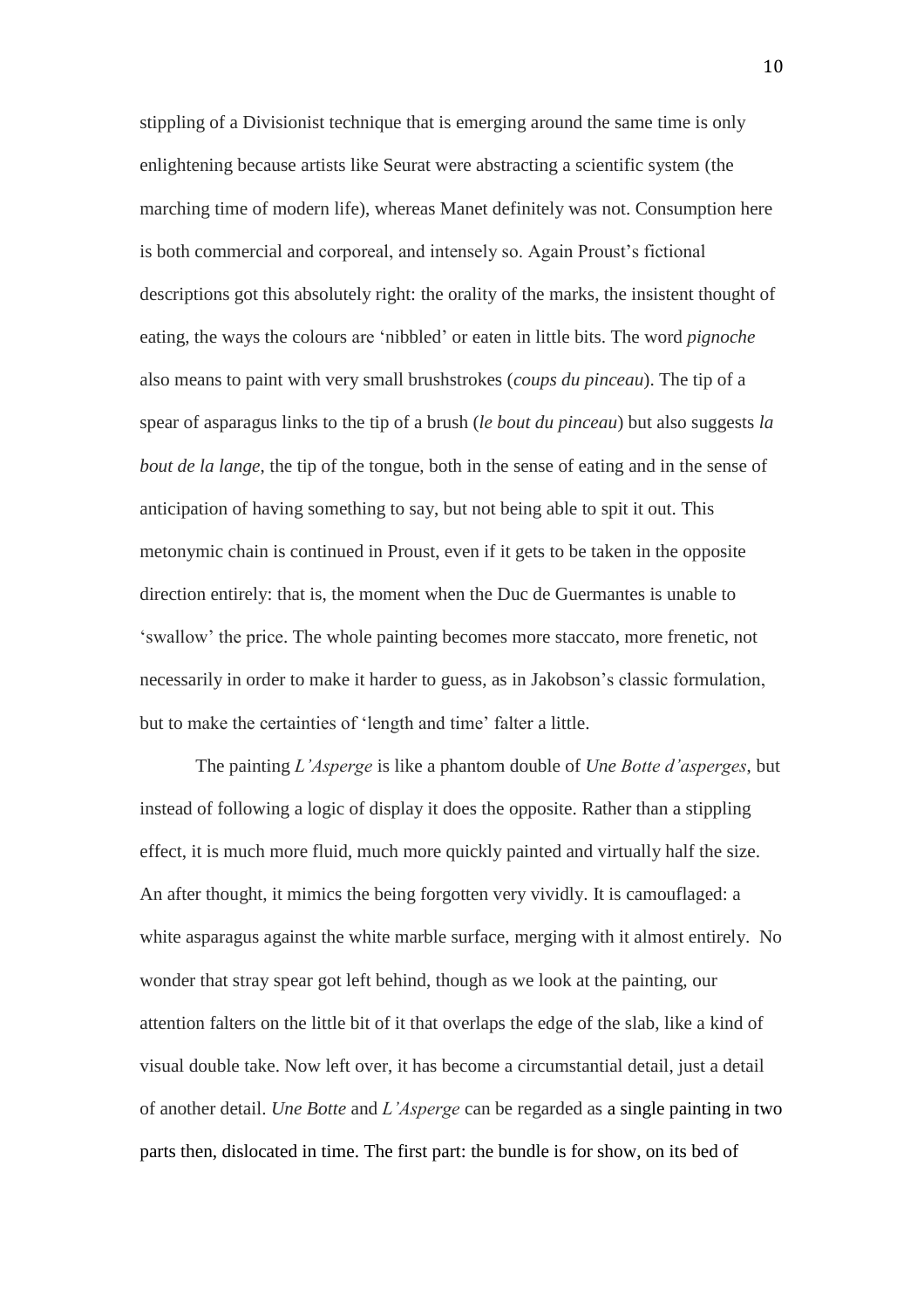stippling of a Divisionist technique that is emerging around the same time is only enlightening because artists like Seurat were abstracting a scientific system (the marching time of modern life), whereas Manet definitely was not. Consumption here is both commercial and corporeal, and intensely so. Again Proust's fictional descriptions got this absolutely right: the orality of the marks, the insistent thought of eating, the ways the colours are 'nibbled' or eaten in little bits. The word *pignoche* also means to paint with very small brushstrokes (*coups du pinceau*). The tip of a spear of asparagus links to the tip of a brush (*le bout du pinceau*) but also suggests *la bout de la lange*, the tip of the tongue, both in the sense of eating and in the sense of anticipation of having something to say, but not being able to spit it out. This metonymic chain is continued in Proust, even if it gets to be taken in the opposite direction entirely: that is, the moment when the Duc de Guermantes is unable to 'swallow' the price. The whole painting becomes more staccato, more frenetic, not necessarily in order to make it harder to guess, as in Jakobson's classic formulation, but to make the certainties of 'length and time' falter a little.

The painting *L'Asperge* is like a phantom double of *Une Botte d'asperges*, but instead of following a logic of display it does the opposite. Rather than a stippling effect, it is much more fluid, much more quickly painted and virtually half the size. An after thought, it mimics the being forgotten very vividly. It is camouflaged: a white asparagus against the white marble surface, merging with it almost entirely. No wonder that stray spear got left behind, though as we look at the painting, our attention falters on the little bit of it that overlaps the edge of the slab, like a kind of visual double take. Now left over, it has become a circumstantial detail, just a detail of another detail. *Une Botte* and *L'Asperge* can be regarded as a single painting in two parts then, dislocated in time. The first part: the bundle is for show, on its bed of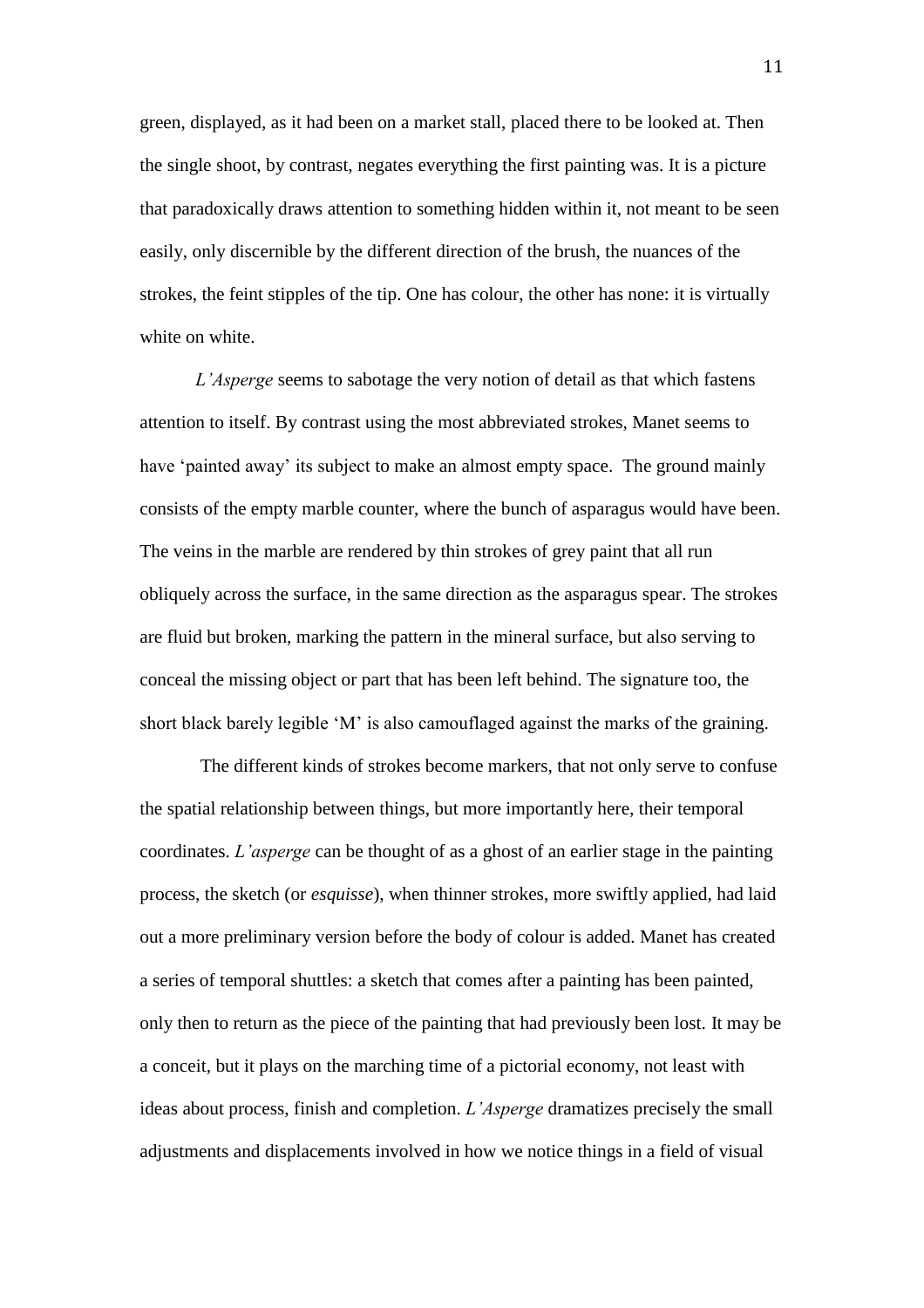green, displayed, as it had been on a market stall, placed there to be looked at. Then the single shoot, by contrast, negates everything the first painting was. It is a picture that paradoxically draws attention to something hidden within it, not meant to be seen easily, only discernible by the different direction of the brush, the nuances of the strokes, the feint stipples of the tip. One has colour, the other has none: it is virtually white on white.

*L'Asperge* seems to sabotage the very notion of detail as that which fastens attention to itself. By contrast using the most abbreviated strokes, Manet seems to have 'painted away' its subject to make an almost empty space. The ground mainly consists of the empty marble counter, where the bunch of asparagus would have been. The veins in the marble are rendered by thin strokes of grey paint that all run obliquely across the surface, in the same direction as the asparagus spear. The strokes are fluid but broken, marking the pattern in the mineral surface, but also serving to conceal the missing object or part that has been left behind. The signature too, the short black barely legible 'M' is also camouflaged against the marks of the graining.

 The different kinds of strokes become markers, that not only serve to confuse the spatial relationship between things, but more importantly here, their temporal coordinates. *L'asperge* can be thought of as a ghost of an earlier stage in the painting process, the sketch (or *esquisse*), when thinner strokes, more swiftly applied, had laid out a more preliminary version before the body of colour is added. Manet has created a series of temporal shuttles: a sketch that comes after a painting has been painted, only then to return as the piece of the painting that had previously been lost. It may be a conceit, but it plays on the marching time of a pictorial economy, not least with ideas about process, finish and completion. *L'Asperge* dramatizes precisely the small adjustments and displacements involved in how we notice things in a field of visual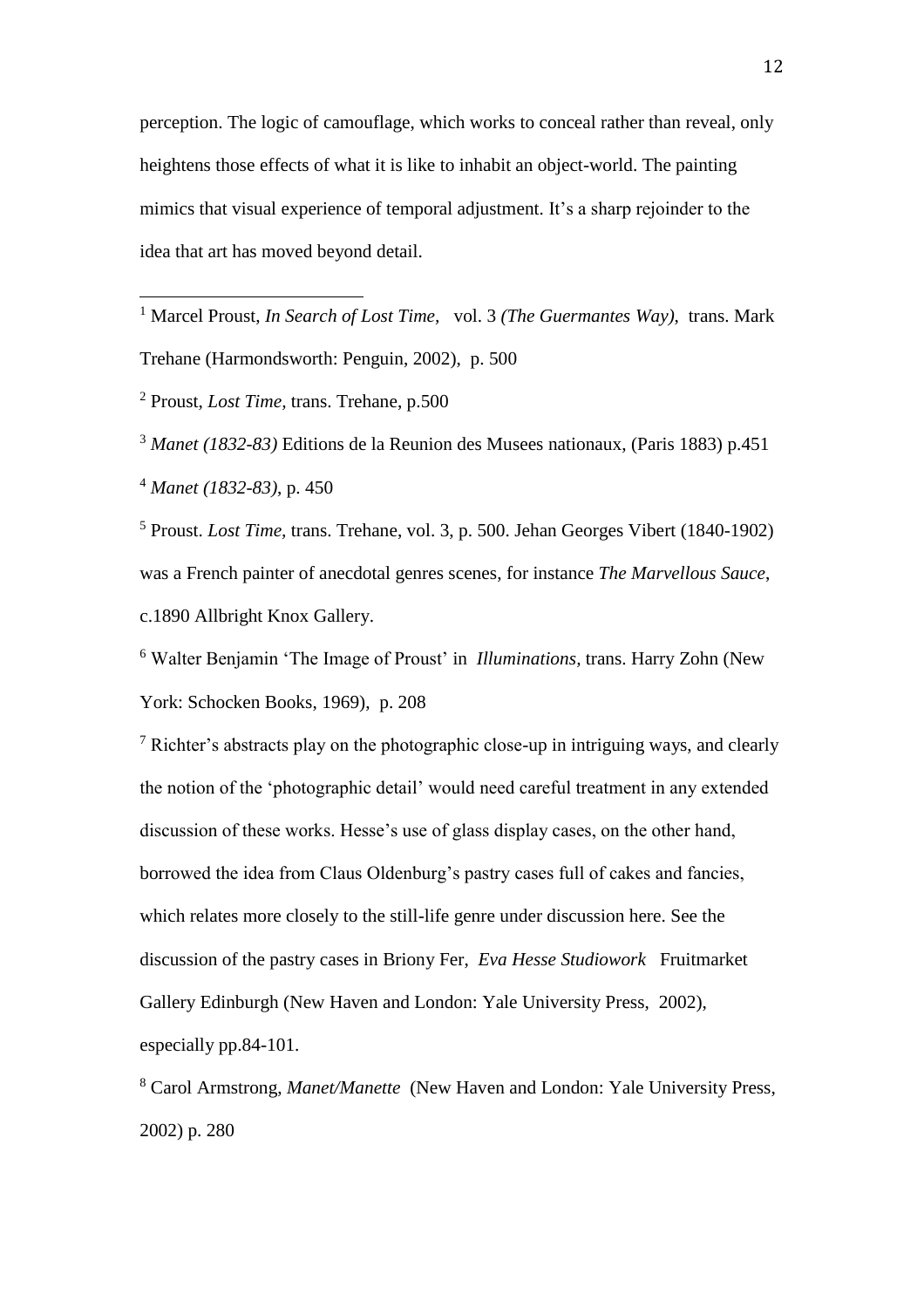perception. The logic of camouflage, which works to conceal rather than reveal, only heightens those effects of what it is like to inhabit an object-world. The painting mimics that visual experience of temporal adjustment. It's a sharp rejoinder to the idea that art has moved beyond detail.

<sup>1</sup> Marcel Proust, *In Search of Lost Time,* vol. 3 *(The Guermantes Way)*, trans. Mark Trehane (Harmondsworth: Penguin, 2002), p. 500

<sup>2</sup> Proust, *Lost Time,* trans. Trehane, p.500

 $\overline{a}$ 

<sup>3</sup> *Manet (1832-83)* Editions de la Reunion des Musees nationaux, (Paris 1883) p.451 <sup>4</sup> *Manet (1832-83)*, p. 450

<sup>5</sup> Proust. *Lost Time,* trans. Trehane, vol. 3, p. 500. Jehan Georges Vibert (1840-1902) was a French painter of anecdotal genres scenes, for instance *The Marvellous Sauce*, c.1890 Allbright Knox Gallery.

<sup>6</sup> Walter Benjamin 'The Image of Proust' in *Illuminations,* trans. Harry Zohn (New York: Schocken Books, 1969), p. 208

<sup>7</sup> Richter's abstracts play on the photographic close-up in intriguing ways, and clearly the notion of the 'photographic detail' would need careful treatment in any extended discussion of these works. Hesse's use of glass display cases, on the other hand, borrowed the idea from Claus Oldenburg's pastry cases full of cakes and fancies, which relates more closely to the still-life genre under discussion here. See the discussion of the pastry cases in Briony Fer, *Eva Hesse Studiowork* Fruitmarket Gallery Edinburgh (New Haven and London: Yale University Press, 2002), especially pp.84-101.

<sup>8</sup> Carol Armstrong, *Manet/Manette* (New Haven and London: Yale University Press, 2002) p. 280